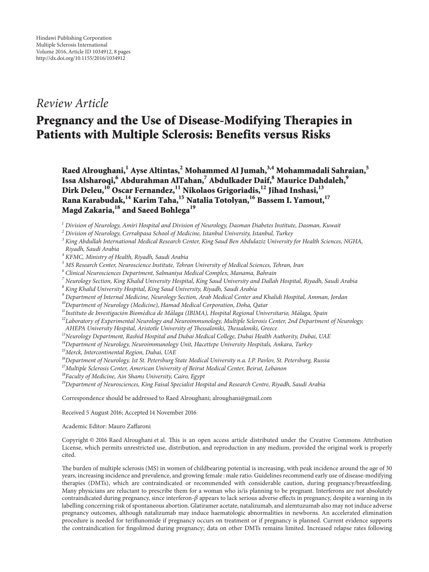## *Review Article*

# **Pregnancy and the Use of Disease-Modifying Therapies in Patients with Multiple Sclerosis: Benefits versus Risks**

**Raed Alroughani,<sup>1</sup> Ayse Altintas,2 Mohammed Al Jumah,3,4 Mohammadali Sahraian,<sup>5</sup> Issa Alsharoqi,6 Abdurahman AlTahan,7 Abdulkader Daif,8 Maurice Dahdaleh,<sup>9</sup> Dirk Deleu,10 Oscar Fernandez,11 Nikolaos Grigoriadis,<sup>12</sup> Jihad Inshasi,<sup>13</sup> Rana Karabudak,14 Karim Taha,15 Natalia Totolyan,<sup>16</sup> Bassem I. Yamout,17 Magd Zakaria,18 and Saeed Bohlega<sup>19</sup>**

- *<sup>3</sup> King Abdullah International Medical Research Center, King Saud Ben Abdulaziz University for Health Sciences, NGHA, Riyadh, Saudi Arabia*
- *<sup>4</sup> KFMC, Ministry of Health, Riyadh, Saudi Arabia*
- *<sup>5</sup> MS Research Center, Neuroscience Institute, Tehran University of Medical Sciences, Tehran, Iran*
- *<sup>6</sup> Clinical Neurosciences Department, Salmaniya Medical Complex, Manama, Bahrain*
- *<sup>7</sup> Neurology Section, King Khalid University Hospital, King Saud University and Dallah Hospital, Riyadh, Saudi Arabia*
- *<sup>8</sup> King Khalid University Hospital, King Saud University, Riyadh, Saudi Arabia*
- *<sup>9</sup> Department of Internal Medicine, Neurology Section, Arab Medical Center and Khalidi Hospital, Amman, Jordan*
- *10Department of Neurology (Medicine), Hamad Medical Corporation, Doha, Qatar*
- *11Instituto de Investigacion Biom ´ edica de M ´ alaga (IBIMA), Hospital Regional Universitario, M ´ alaga, Spain ´*
- *12Laboratory of Experimental Neurology and Neuroimmunology, Multiple Sclerosis Center, 2nd Department of Neurology,*
- *AHEPA University Hospital, Aristotle University of Thessaloniki, Thessaloniki, Greece*
- *13Neurology Department, Rashid Hospital and Dubai Medical College, Dubai Health Authority, Dubai, UAE*
- *14Department of Neurology, Neuroimmunology Unit, Hacettepe University Hospitals, Ankara, Turkey*
- *15Merck, Intercontinental Region, Dubai, UAE*
- *16Department of Neurology, 1st St. Petersburg State Medical University n.a. I.P. Pavlov, St. Petersburg, Russia*

*17Multiple Sclerosis Center, American University of Beirut Medical Center, Beirut, Lebanon*

- *18Faculty of Medicine, Ain Shams University, Cairo, Egypt*
- *19Department of Neurosciences, King Faisal Specialist Hospital and Research Centre, Riyadh, Saudi Arabia*

Correspondence should be addressed to Raed Alroughani; alroughani@gmail.com

Received 5 August 2016; Accepted 14 November 2016

Academic Editor: Mauro Zaffaroni

Copyright © 2016 Raed Alroughani et al. This is an open access article distributed under the Creative Commons Attribution License, which permits unrestricted use, distribution, and reproduction in any medium, provided the original work is properly cited.

The burden of multiple sclerosis (MS) in women of childbearing potential is increasing, with peak incidence around the age of 30 years, increasing incidence and prevalence, and growing female : male ratio. Guidelines recommend early use of disease-modifying therapies (DMTs), which are contraindicated or recommended with considerable caution, during pregnancy/breastfeeding. Many physicians are reluctant to prescribe them for a woman who is/is planning to be pregnant. Interferons are not absolutely contraindicated during pregnancy, since interferon- $\beta$  appears to lack serious adverse effects in pregnancy, despite a warning in its labelling concerning risk of spontaneous abortion. Glatiramer acetate, natalizumab, and alemtuzumab also may not induce adverse pregnancy outcomes, although natalizumab may induce haematologic abnormalities in newborns. An accelerated elimination procedure is needed for teriflunomide if pregnancy occurs on treatment or if pregnancy is planned. Current evidence supports the contraindication for fingolimod during pregnancy; data on other DMTs remains limited. Increased relapse rates following

*<sup>1</sup> Division of Neurology, Amiri Hospital and Division of Neurology, Dasman Diabetes Institute, Dasman, Kuwait*

*<sup>2</sup> Division of Neurology, Cerrahpasa School of Medicine, Istanbul University, Istanbul, Turkey*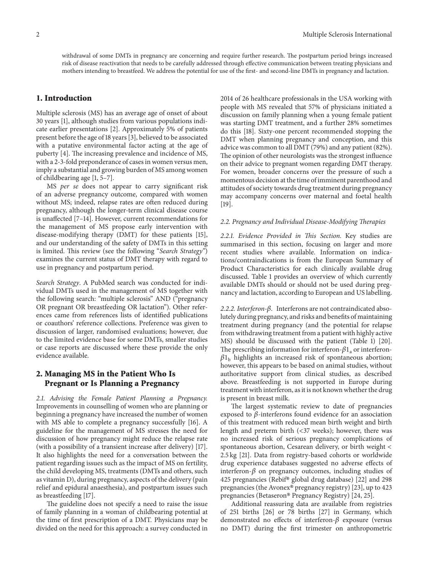withdrawal of some DMTs in pregnancy are concerning and require further research. The postpartum period brings increased risk of disease reactivation that needs to be carefully addressed through effective communication between treating physicians and mothers intending to breastfeed. We address the potential for use of the first- and second-line DMTs in pregnancy and lactation.

## **1. Introduction**

Multiple sclerosis (MS) has an average age of onset of about 30 years [\[1\]](#page-5-0), although studies from various populations indicate earlier presentations [\[2](#page-5-1)]. Approximately 5% of patients present before the age of 18 years [\[3](#page-5-2)], believed to be associated with a putative environmental factor acting at the age of puberty [\[4\]](#page-5-3). The increasing prevalence and incidence of MS, with a 2-3-fold preponderance of cases in women versus men, imply a substantial and growing burden of MS among women of childbearing age [\[1](#page-5-0), [5](#page-5-4)[–7](#page-5-5)].

MS *per se* does not appear to carry significant risk of an adverse pregnancy outcome, compared with women without MS; indeed, relapse rates are often reduced during pregnancy, although the longer-term clinical disease course is unaffected [\[7](#page-5-5)[–14\]](#page-5-6). However, current recommendations for the management of MS propose early intervention with disease-modifying therapy (DMT) for these patients [\[15\]](#page-5-7), and our understanding of the safety of DMTs in this setting is limited. This review (see the following "*Search Strategy"*) examines the current status of DMT therapy with regard to use in pregnancy and postpartum period.

*Search Strategy*. A PubMed search was conducted for individual DMTs used in the management of MS together with the following search: "multiple sclerosis" AND ("pregnancy OR pregnant OR breastfeeding OR lactation"). Other references came from references lists of identified publications or coauthors' reference collections. Preference was given to discussion of larger, randomised evaluations; however, due to the limited evidence base for some DMTs, smaller studies or case reports are discussed where these provide the only evidence available.

## **2. Managing MS in the Patient Who Is Pregnant or Is Planning a Pregnancy**

*2.1. Advising the Female Patient Planning a Pregnancy.* Improvements in counselling of women who are planning or beginning a pregnancy have increased the number of women with MS able to complete a pregnancy successfully [\[16\]](#page-5-8). A guideline for the management of MS stresses the need for discussion of how pregnancy might reduce the relapse rate (with a possibility of a transient increase after delivery) [\[17\]](#page-5-9). It also highlights the need for a conversation between the patient regarding issues such as the impact of MS on fertility, the child developing MS, treatments (DMTs and others, such as vitamin D), during pregnancy, aspects of the delivery (pain relief and epidural anaesthesia), and postpartum issues such as breastfeeding [\[17\]](#page-5-9).

The guideline does not specify a need to raise the issue of family planning in a woman of childbearing potential at the time of first prescription of a DMT. Physicians may be divided on the need for this approach: a survey conducted in

2014 of 26 healthcare professionals in the USA working with people with MS revealed that 57% of physicians initiated a discussion on family planning when a young female patient was starting DMT treatment, and a further 28% sometimes do this [\[18](#page-5-10)]. Sixty-one percent recommended stopping the DMT when planning pregnancy and conception, and this advice was common to all DMT (79%) and any patient (82%). The opinion of other neurologists was the strongest influence on their advice to pregnant women regarding DMT therapy. For women, broader concerns over the pressure of such a momentous decision at the time of imminent parenthood and attitudes of society towards drug treatment during pregnancy may accompany concerns over maternal and foetal health [\[19](#page-5-11)].

#### *2.2. Pregnancy and Individual Disease-Modifying Therapies*

*2.2.1. Evidence Provided in This Section.* Key studies are summarised in this section, focusing on larger and more recent studies where available. Information on indications/contraindications is from the European Summary of Product Characteristics for each clinically available drug discussed. Table [1](#page-2-0) provides an overview of which currently available DMTs should or should not be used during pregnancy and lactation, according to European and US labelling.

*2.2.2. Interferon-.* Interferons are not contraindicated absolutely during pregnancy, and risks and benefits of maintaining treatment during pregnancy (and the potential for relapse from withdrawing treatment from a patient with highly active MS) should be discussed with the patient (Table [1\)](#page-2-0) [\[20](#page-5-12)]. The prescribing information for interferon- $\beta_{1a}$  or interferon- $\beta_{\rm 1b}$  highlights an increased risk of spontaneous abortion; however, this appears to be based on animal studies, without authoritative support from clinical studies, as described above. Breastfeeding is not supported in Europe during treatment with interferon, as it is not known whether the drug is present in breast milk.

The largest systematic review to date of pregnancies exposed to  $\beta$ -interferons found evidence for an association of this treatment with reduced mean birth weight and birth length and preterm birth (<37 weeks); however, there was no increased risk of serious pregnancy complications of spontaneous abortion, Cesarean delivery, or birth weight < 2.5 kg [\[21](#page-5-13)]. Data from registry-based cohorts or worldwide drug experience databases suggested no adverse effects of interferon- $\beta$  on pregnancy outcomes, including studies of 425 pregnancies (Rebif® global drug database) [\[22](#page-5-14)] and 298 pregnancies (the Avonex® pregnancy registry) [\[23\]](#page-5-15), up to 423 pregnancies (Betaseron® Pregnancy Registry) [\[24,](#page-5-16) [25](#page-5-17)].

Additional reassuring data are available from registries of 251 births [\[26\]](#page-6-0) or 78 births [\[27\]](#page-6-1) in Germany, which demonstrated no effects of interferon- $\beta$  exposure (versus no DMT) during the first trimester on anthropometric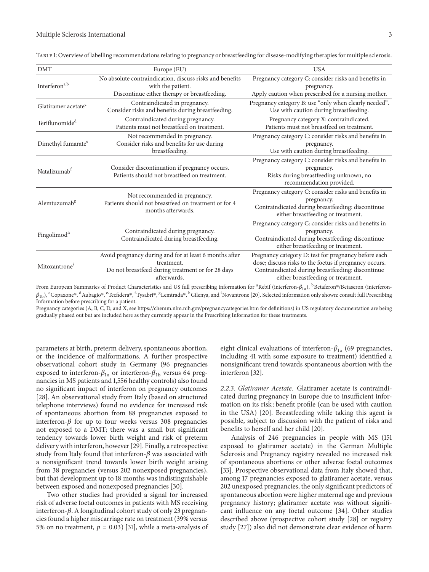<span id="page-2-0"></span>

| <b>DMT</b>                      | Europe (EU)                                                                                                                              | <b>USA</b>                                                                                                                                                                                                |
|---------------------------------|------------------------------------------------------------------------------------------------------------------------------------------|-----------------------------------------------------------------------------------------------------------------------------------------------------------------------------------------------------------|
| Interferon <sup>a,b</sup>       | No absolute contraindication, discuss risks and benefits<br>with the patient.<br>Discontinue either therapy or breastfeeding.            | Pregnancy category C: consider risks and benefits in<br>pregnancy.<br>Apply caution when prescribed for a nursing mother.                                                                                 |
| Glatiramer acetate <sup>c</sup> | Contraindicated in pregnancy.<br>Consider risks and benefits during breastfeeding.                                                       | Pregnancy category B: use "only when clearly needed".<br>Use with caution during breastfeeding.                                                                                                           |
| Teriflunomide <sup>d</sup>      | Contraindicated during pregnancy.<br>Patients must not breastfeed on treatment.                                                          | Pregnancy category X: contraindicated.<br>Patients must not breastfeed on treatment.                                                                                                                      |
| Dimethyl fumarate <sup>e</sup>  | Not recommended in pregnancy.<br>Consider risks and benefits for use during<br>breastfeeding.                                            | Pregnancy category C: consider risks and benefits in<br>pregnancy.<br>Use with caution during breastfeeding.                                                                                              |
| Natalizumab <sup>f</sup>        | Consider discontinuation if pregnancy occurs.<br>Patients should not breastfeed on treatment.                                            | Pregnancy category C: consider risks and benefits in<br>pregnancy.<br>Risks during breastfeeding unknown, no<br>recommendation provided.                                                                  |
| Alemtuzumab <sup>g</sup>        | Not recommended in pregnancy.<br>Patients should not breastfeed on treatment or for 4<br>months afterwards.                              | Pregnancy category C: consider risks and benefits in<br>pregnancy.<br>Contraindicated during breastfeeding: discontinue<br>either breastfeeding or treatment.                                             |
| Fingolimod <sup>h</sup>         | Contraindicated during pregnancy.<br>Contraindicated during breastfeeding.                                                               | Pregnancy category C: consider risks and benefits in<br>pregnancy.<br>Contraindicated during breastfeeding: discontinue<br>either breastfeeding or treatment.                                             |
| Mitoxantrone <sup>i</sup>       | Avoid pregnancy during and for at least 6 months after<br>treatment.<br>Do not breastfeed during treatment or for 28 days<br>afterwards. | Pregnancy category D: test for pregnancy before each<br>dose; discuss risks to the foetus if pregnancy occurs.<br>Contraindicated during breastfeeding: discontinue<br>either breastfeeding or treatment. |
|                                 |                                                                                                                                          |                                                                                                                                                                                                           |

Table 1: Overview of labelling recommendations relating to pregnancy or breastfeeding for disease-modifying therapies for multiple sclerosis.

From European Summaries of Product Characteristics and US full prescribing information for <sup>a</sup>Rebif (interferon- $\beta_{1a}$ ),  $^{\rm b}$ Betaferon®/Betaseron (interferon- $\beta_{1{\rm b}}$ ,  $^{\rm c}$ Copaxone®,  $^{\rm d}$ Aubagio®,  $^{\rm e}$ Tecfidera®,  $^{\rm f}$ Tysabri®,  $^{\rm g}$ Lemtrada®,  $^{\rm h}$ Gilenya, and <sup>i</sup>Novantrone [\[20](#page-5-12)]. Selected information only shown: consult full Prescribing Information before prescribing for a patient.

Pregnancy categories (A, B, C, D, and X, see<https://chemm.nlm.nih.gov/pregnancycategories.htm> for definitions) in US regulatory documentation are being gradually phased out but are included here as they currently appear in the Prescribing Information for these treatments.

parameters at birth, preterm delivery, spontaneous abortion, or the incidence of malformations. A further prospective observational cohort study in Germany (96 pregnancies exposed to interferon- $\beta_{1a}$  or interferon- $\beta_{1b}$  versus 64 pregnancies in MS patients and 1,556 healthy controls) also found no significant impact of interferon on pregnancy outcomes [\[28](#page-6-2)]. An observational study from Italy (based on structured telephone interviews) found no evidence for increased risk of spontaneous abortion from 88 pregnancies exposed to interferon- $\beta$  for up to four weeks versus 308 pregnancies not exposed to a DMT; there was a small but significant tendency towards lower birth weight and risk of preterm delivery with interferon, however [\[29\]](#page-6-3). Finally, a retrospective study from Italy found that interferon- $\beta$  was associated with a nonsignificant trend towards lower birth weight arising from 38 pregnancies (versus 202 nonexposed pregnancies), but that development up to 18 months was indistinguishable between exposed and nonexposed pregnancies [\[30](#page-6-4)].

Two other studies had provided a signal for increased risk of adverse foetal outcomes in patients with MS receiving interferon- $\beta$ . A longitudinal cohort study of only 23 pregnancies found a higher miscarriage rate on treatment (39% versus 5% on no treatment,  $p = 0.03$  [\[31\]](#page-6-5), while a meta-analysis of eight clinical evaluations of interferon- $\beta_{1a}$  (69 pregnancies, including 41 with some exposure to treatment) identified a nonsignificant trend towards spontaneous abortion with the interferon [\[32](#page-6-6)].

*2.2.3. Glatiramer Acetate.* Glatiramer acetate is contraindicated during pregnancy in Europe due to insufficient information on its risk : benefit profile (can be used with caution in the USA) [\[20](#page-5-12)]. Breastfeeding while taking this agent is possible, subject to discussion with the patient of risks and benefits to herself and her child [\[20\]](#page-5-12).

Analysis of 246 pregnancies in people with MS (151 exposed to glatiramer acetate) in the German Multiple Sclerosis and Pregnancy registry revealed no increased risk of spontaneous abortions or other adverse foetal outcomes [\[33\]](#page-6-7). Prospective observational data from Italy showed that, among 17 pregnancies exposed to glatiramer acetate, versus 202 unexposed pregnancies, the only significant predictors of spontaneous abortion were higher maternal age and previous pregnancy history; glatiramer acetate was without significant influence on any foetal outcome [\[34\]](#page-6-8). Other studies described above (prospective cohort study [\[28\]](#page-6-2) or registry study [\[27\]](#page-6-1)) also did not demonstrate clear evidence of harm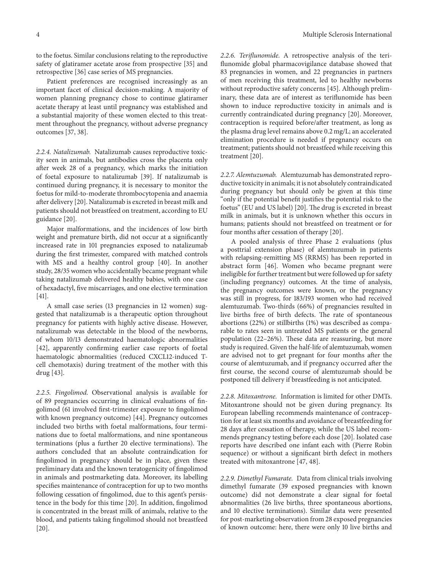to the foetus. Similar conclusions relating to the reproductive safety of glatiramer acetate arose from prospective [\[35](#page-6-9)] and retrospective [\[36](#page-6-10)] case series of MS pregnancies.

Patient preferences are recognised increasingly as an important facet of clinical decision-making. A majority of women planning pregnancy chose to continue glatiramer acetate therapy at least until pregnancy was established and a substantial majority of these women elected to this treatment throughout the pregnancy, without adverse pregnancy outcomes [\[37,](#page-6-11) [38](#page-6-12)].

*2.2.4. Natalizumab.* Natalizumab causes reproductive toxicity seen in animals, but antibodies cross the placenta only after week 28 of a pregnancy, which marks the initiation of foetal exposure to natalizumab [\[39\]](#page-6-13). If natalizumab is continued during pregnancy, it is necessary to monitor the foetus for mild-to-moderate thrombocytopenia and anaemia after delivery [\[20\]](#page-5-12). Natalizumab is excreted in breast milk and patients should not breastfeed on treatment, according to EU guidance [\[20\]](#page-5-12).

Major malformations, and the incidences of low birth weight and premature birth, did not occur at a significantly increased rate in 101 pregnancies exposed to natalizumab during the first trimester, compared with matched controls with MS and a healthy control group [\[40](#page-6-14)]. In another study, 28/35 women who accidentally became pregnant while taking natalizumab delivered healthy babies, with one case of hexadactyl, five miscarriages, and one elective termination [\[41](#page-6-15)].

A small case series (13 pregnancies in 12 women) suggested that natalizumab is a therapeutic option throughout pregnancy for patients with highly active disease. However, natalizumab was detectable in the blood of the newborns, of whom 10/13 demonstrated haematologic abnormalities [\[42\]](#page-6-16), apparently confirming earlier case reports of foetal haematologic abnormalities (reduced CXCL12-induced Tcell chemotaxis) during treatment of the mother with this drug [\[43\]](#page-6-17).

*2.2.5. Fingolimod.* Observational analysis is available for of 89 pregnancies occurring in clinical evaluations of fingolimod (61 involved first-trimester exposure to fingolimod with known pregnancy outcome) [\[44](#page-6-18)]. Pregnancy outcomes included two births with foetal malformations, four terminations due to foetal malformations, and nine spontaneous terminations (plus a further 20 elective terminations). The authors concluded that an absolute contraindication for fingolimod in pregnancy should be in place, given these preliminary data and the known teratogenicity of fingolimod in animals and postmarketing data. Moreover, its labelling specifies maintenance of contraception for up to two months following cessation of fingolimod, due to this agent's persistence in the body for this time [\[20](#page-5-12)]. In addition, fingolimod is concentrated in the breast milk of animals, relative to the blood, and patients taking fingolimod should not breastfeed [\[20\]](#page-5-12).

*2.2.6. Teriflunomide.* A retrospective analysis of the teriflunomide global pharmacovigilance database showed that 83 pregnancies in women, and 22 pregnancies in partners of men receiving this treatment, led to healthy newborns without reproductive safety concerns [\[45\]](#page-6-19). Although preliminary, these data are of interest as teriflunomide has been shown to induce reproductive toxicity in animals and is currently contraindicated during pregnancy [\[20\]](#page-5-12). Moreover, contraception is required before/after treatment, as long as the plasma drug level remains above 0.2 mg/L; an accelerated elimination procedure is needed if pregnancy occurs on treatment; patients should not breastfeed while receiving this treatment [\[20\]](#page-5-12).

*2.2.7. Alemtuzumab.* Alemtuzumab has demonstrated reproductive toxicity in animals; it is not absolutely contraindicated during pregnancy but should only be given at this time "only if the potential benefit justifies the potential risk to the foetus" (EU and US label) [\[20](#page-5-12)]. The drug is excreted in breast milk in animals, but it is unknown whether this occurs in humans; patients should not breastfeed on treatment or for four months after cessation of therapy [\[20](#page-5-12)].

A pooled analysis of three Phase 2 evaluations (plus a posttrial extension phase) of alemtuzumab in patients with relapsing-remitting MS (RRMS) has been reported in abstract form [\[46\]](#page-6-20). Women who became pregnant were ineligible for further treatment but were followed up for safety (including pregnancy) outcomes. At the time of analysis, the pregnancy outcomes were known, or the pregnancy was still in progress, for 183/193 women who had received alemtuzumab. Two-thirds (66%) of pregnancies resulted in live births free of birth defects. The rate of spontaneous abortions (22%) or stillbirths (1%) was described as comparable to rates seen in untreated MS patients or the general population (22–26%). These data are reassuring, but more study is required. Given the half-life of alemtuzumab, women are advised not to get pregnant for four months after the course of alemtuzumab, and if pregnancy occurred after the first course, the second course of alemtuzumab should be postponed till delivery if breastfeeding is not anticipated.

*2.2.8. Mitoxantrone.* Information is limited for other DMTs. Mitoxantrone should not be given during pregnancy. Its European labelling recommends maintenance of contraception for at least six months and avoidance of breastfeeding for 28 days after cessation of therapy, while the US label recommends pregnancy testing before each dose [\[20\]](#page-5-12). Isolated case reports have described one infant each with (Pierre Robin sequence) or without a significant birth defect in mothers treated with mitoxantrone [\[47,](#page-6-21) [48](#page-6-22)].

*2.2.9. Dimethyl Fumarate.* Data from clinical trials involving dimethyl fumarate (39 exposed pregnancies with known outcome) did not demonstrate a clear signal for foetal abnormalities (26 live births, three spontaneous abortions, and 10 elective terminations). Similar data were presented for post-marketing observation from 28 exposed pregnancies of known outcome: here, there were only 10 live births and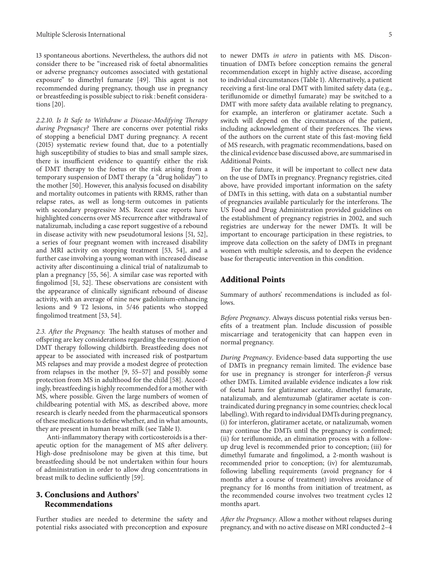13 spontaneous abortions. Nevertheless, the authors did not consider there to be "increased risk of foetal abnormalities or adverse pregnancy outcomes associated with gestational exposure" to dimethyl fumarate [\[49\]](#page-6-23). This agent is not recommended during pregnancy, though use in pregnancy or breastfeeding is possible subject to risk : benefit considerations [\[20\]](#page-5-12).

*2.2.10. Is It Safe to Withdraw a Disease-Modifying Therapy during Pregnancy?* There are concerns over potential risks of stopping a beneficial DMT during pregnancy. A recent (2015) systematic review found that, due to a potentially high susceptibility of studies to bias and small sample sizes, there is insufficient evidence to quantify either the risk of DMT therapy to the foetus or the risk arising from a temporary suspension of DMT therapy (a "drug holiday") to the mother [\[50](#page-6-24)]. However, this analysis focused on disability and mortality outcomes in patients with RRMS, rather than relapse rates, as well as long-term outcomes in patients with secondary progressive MS. Recent case reports have highlighted concerns over MS recurrence after withdrawal of natalizumab, including a case report suggestive of a rebound in disease activity with new pseudotumoral lesions [\[51,](#page-6-25) [52\]](#page-6-26), a series of four pregnant women with increased disability and MRI activity on stopping treatment [\[53,](#page-6-27) [54\]](#page-6-28), and a further case involving a young woman with increased disease activity after discontinuing a clinical trial of natalizumab to plan a pregnancy [\[55](#page-6-29), [56\]](#page-7-0). A similar case was reported with fingolimod [\[51](#page-6-25), [52](#page-6-26)]. These observations are consistent with the appearance of clinically significant rebound of disease activity, with an average of nine new gadolinium-enhancing lesions and 9 T2 lesions, in 5/46 patients who stopped fingolimod treatment [\[53](#page-6-27), [54](#page-6-28)].

*2.3. After the Pregnancy.* The health statuses of mother and offspring are key considerations regarding the resumption of DMT therapy following childbirth. Breastfeeding does not appear to be associated with increased risk of postpartum MS relapses and may provide a modest degree of protection from relapses in the mother [\[9,](#page-5-18) [55](#page-6-29)[–57\]](#page-7-1) and possibly some protection from MS in adulthood for the child [\[58](#page-7-2)]. Accordingly, breastfeeding is highly recommended for a mother with MS, where possible. Given the large numbers of women of childbearing potential with MS, as described above, more research is clearly needed from the pharmaceutical sponsors of these medications to define whether, and in what amounts, they are present in human breast milk (see Table [1\)](#page-2-0).

Anti-inflammatory therapy with corticosteroids is a therapeutic option for the management of MS after delivery. High-dose prednisolone may be given at this time, but breastfeeding should be not undertaken within four hours of administration in order to allow drug concentrations in breast milk to decline sufficiently [\[59\]](#page-7-3).

## **3. Conclusions and Authors' Recommendations**

Further studies are needed to determine the safety and potential risks associated with preconception and exposure to newer DMTs *in utero* in patients with MS. Discontinuation of DMTs before conception remains the general recommendation except in highly active disease, according to individual circumstances (Table [1\)](#page-2-0). Alternatively, a patient receiving a first-line oral DMT with limited safety data (e.g., teriflunomide or dimethyl fumarate) may be switched to a DMT with more safety data available relating to pregnancy, for example, an interferon or glatiramer acetate. Such a switch will depend on the circumstances of the patient, including acknowledgment of their preferences. The views of the authors on the current state of this fast-moving field of MS research, with pragmatic recommendations, based on the clinical evidence base discussed above, are summarised in Additional Points.

For the future, it will be important to collect new data on the use of DMTs in pregnancy. Pregnancy registries, cited above, have provided important information on the safety of DMTs in this setting, with data on a substantial number of pregnancies available particularly for the interferons. The US Food and Drug Administration provided guidelines on the establishment of pregnancy registries in 2002, and such registries are underway for the newer DMTs. It will be important to encourage participation in these registries, to improve data collection on the safety of DMTs in pregnant women with multiple sclerosis, and to deepen the evidence base for therapeutic intervention in this condition.

#### **Additional Points**

Summary of authors' recommendations is included as follows.

*Before Pregnancy*. Always discuss potential risks versus benefits of a treatment plan. Include discussion of possible miscarriage and teratogenicity that can happen even in normal pregnancy.

*During Pregnancy*. Evidence-based data supporting the use of DMTs in pregnancy remain limited. The evidence base for use in pregnancy is stronger for interferon- $\beta$  versus other DMTs. Limited available evidence indicates a low risk of foetal harm for glatiramer acetate, dimethyl fumarate, natalizumab, and alemtuzumab (glatiramer acetate is contraindicated during pregnancy in some countries; check local labelling).With regard to individual DMTs during pregnancy, (i) for interferon, glatiramer acetate, or natalizumab, women may continue the DMTs until the pregnancy is confirmed; (ii) for teriflunomide, an elimination process with a followup drug level is recommended prior to conception; (iii) for dimethyl fumarate and fingolimod, a 2-month washout is recommended prior to conception; (iv) for alemtuzumab, following labelling requirements (avoid pregnancy for 4 months after a course of treatment) involves avoidance of pregnancy for 16 months from initiation of treatment, as the recommended course involves two treatment cycles 12 months apart.

*After the Pregnancy*. Allow a mother without relapses during pregnancy, and with no active disease on MRI conducted 2–4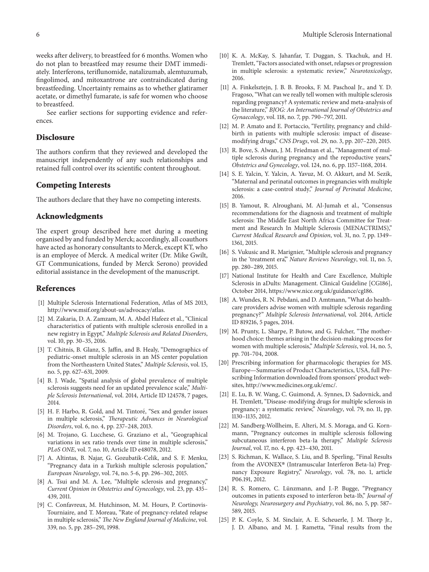weeks after delivery, to breastfeed for 6 months. Women who do not plan to breastfeed may resume their DMT immediately. Interferons, teriflunomide, natalizumab, alemtuzumab, fingolimod, and mitoxantrone are contraindicated during breastfeeding. Uncertainty remains as to whether glatiramer acetate, or dimethyl fumarate, is safe for women who choose to breastfeed.

See earlier sections for supporting evidence and references.

#### **Disclosure**

The authors confirm that they reviewed and developed the manuscript independently of any such relationships and retained full control over its scientific content throughout.

#### **Competing Interests**

The authors declare that they have no competing interests.

#### **Acknowledgments**

The expert group described here met during a meeting organised by and funded by Merck; accordingly, all coauthors have acted as honorary consultants to Merck, except KT, who is an employee of Merck. A medical writer (Dr. Mike Gwilt, GT Communications, funded by Merck Serono) provided editorial assistance in the development of the manuscript.

#### **References**

- <span id="page-5-0"></span>[1] Multiple Sclerosis International Federation, Atlas of MS 2013, [http://www.msif.org/about-us/advocacy/atlas.](http://www.msif.org/about-us/advocacy/atlas)
- <span id="page-5-1"></span>[2] M. Zakaria, D. A. Zamzam, M. A. Abdel Hafeez et al., "Clinical characteristics of patients with multiple sclerosis enrolled in a new registry in Egypt," *Multiple Sclerosis and Related Disorders*, vol. 10, pp. 30–35, 2016.
- <span id="page-5-2"></span>[3] T. Chitnis, B. Glanz, S. Jaffin, and B. Healy, "Demographics of pediatric-onset multiple sclerosis in an MS center population from the Northeastern United States," *Multiple Sclerosis*, vol. 15, no. 5, pp. 627–631, 2009.
- <span id="page-5-3"></span>[4] B. J. Wade, "Spatial analysis of global prevalence of multiple sclerosis suggests need for an updated prevalence scale," *Multiple Sclerosis International*, vol. 2014, Article ID 124578, 7 pages, 2014.
- <span id="page-5-4"></span>[5] H. F. Harbo, R. Gold, and M. Tintoré, "Sex and gender issues in multiple sclerosis," *Therapeutic Advances in Neurological Disorders*, vol. 6, no. 4, pp. 237–248, 2013.
- [6] M. Trojano, G. Lucchese, G. Graziano et al., "Geographical variations in sex ratio trends over time in multiple sclerosis," *PLoS ONE*, vol. 7, no. 10, Article ID e48078, 2012.
- <span id="page-5-5"></span>[7] A. Altintas, B. Najar, G. Gozubatik-Celik, and S. F. Menku, "Pregnancy data in a Turkish multiple sclerosis population," *European Neurology*, vol. 74, no. 5-6, pp. 296–302, 2015.
- [8] A. Tsui and M. A. Lee, "Multiple sclerosis and pregnancy," *Current Opinion in Obstetrics and Gynecology*, vol. 23, pp. 435– 439, 2011.
- <span id="page-5-18"></span>[9] C. Confavreux, M. Hutchinson, M. M. Hours, P. Cortinovis-Tourniaire, and T. Moreau, "Rate of pregnancy-related relapse in multiple sclerosis," *The New England Journal of Medicine*, vol. 339, no. 5, pp. 285–291, 1998.
- [10] K. A. McKay, S. Jahanfar, T. Duggan, S. Tkachuk, and H. Tremlett, "Factors associated with onset, relapses or progression in multiple sclerosis: a systematic review," *Neurotoxicology*, 2016.
- [11] A. Finkelsztejn, J. B. B. Brooks, F. M. Paschoal Jr., and Y. D. Fragoso, "What can we really tell women with multiple sclerosis regarding pregnancy? A systematic review and meta-analysis of the literature," *BJOG: An International Journal of Obstetrics and Gynaecology*, vol. 118, no. 7, pp. 790–797, 2011.
- [12] M. P. Amato and E. Portaccio, "Fertility, pregnancy and childbirth in patients with multiple sclerosis: impact of diseasemodifying drugs," *CNS Drugs*, vol. 29, no. 3, pp. 207–220, 2015.
- [13] R. Bove, S. Alwan, J. M. Friedman et al., "Management of multiple sclerosis during pregnancy and the reproductive years," *Obstetrics and Gynecology*, vol. 124, no. 6, pp. 1157–1168, 2014.
- <span id="page-5-6"></span>[14] S. E. Yalcin, Y. Yalcin, A. Yavuz, M. O. Akkurt, and M. Sezik, "Maternal and perinatal outcomes in pregnancies with multiple sclerosis: a case-control study," *Journal of Perinatal Medicine*, 2016.
- <span id="page-5-7"></span>[15] B. Yamout, R. Alroughani, M. Al-Jumah et al., "Consensus recommendations for the diagnosis and treatment of multiple sclerosis: The Middle East North Africa Committee for Treatment and Research In Multiple Sclerosis (MENACTRIMS)," *Current Medical Research and Opinion*, vol. 31, no. 7, pp. 1349– 1361, 2015.
- <span id="page-5-8"></span>[16] S. Vukusic and R. Marignier, "Multiple sclerosis and pregnancy in the 'treatment era," *Nature Reviews Neurology*, vol. 11, no. 5, pp. 280–289, 2015.
- <span id="page-5-9"></span>[17] National Institute for Health and Care Excellence, Multiple Sclerosis in aDults: Management. Clinical Guideline [CG186], October 2014, [https://www.nice.org.uk/guidance/cg186.](https://www.nice.org.uk/guidance/cg186)
- <span id="page-5-10"></span>[18] A. Wundes, R. N. Pebdani, and D. Amtmann, "What do healthcare providers advise women with multiple sclerosis regarding pregnancy?" *Multiple Sclerosis International*, vol. 2014, Article ID 819216, 5 pages, 2014.
- <span id="page-5-11"></span>[19] M. Prunty, L. Sharpe, P. Butow, and G. Fulcher, "The motherhood choice: themes arising in the decision-making process for women with multiple sclerosis," *Multiple Sclerosis*, vol. 14, no. 5, pp. 701–704, 2008.
- <span id="page-5-12"></span>[20] Prescribing information for pharmacologic therapies for MS. Europe—Summaries of Product Characteristics, USA, full Prescribing Information downloaded from sponsors' product websites, [http://www.medicines.org.uk/emc/.](http://www.medicines.org.uk/emc/)
- <span id="page-5-13"></span>[21] E. Lu, B. W. Wang, C. Guimond, A. Synnes, D. Sadovnick, and H. Tremlett, "Disease-modifying drugs for multiple sclerosis in pregnancy: a systematic review," *Neurology*, vol. 79, no. 11, pp. 1130–1135, 2012.
- <span id="page-5-14"></span>[22] M. Sandberg-Wollheim, E. Alteri, M. S. Moraga, and G. Kornmann, "Pregnancy outcomes in multiple sclerosis following subcutaneous interferon beta-1a therapy," *Multiple Sclerosis Journal*, vol. 17, no. 4, pp. 423–430, 2011.
- <span id="page-5-15"></span>[23] S. Richman, K. Wallace, S. Liu, and B. Sperling, "Final Results from the AVONEX® (Intramuscular Interferon Beta-1a) Pregnancy Exposure Registry," *Neurology*, vol. 78, no. 1, article P06.191, 2012.
- <span id="page-5-16"></span>[24] R. S. Romero, C. Lünzmann, and J.-P. Bugge, "Pregnancy outcomes in patients exposed to interferon beta-1b," *Journal of Neurology, Neurosurgery and Psychiatry*, vol. 86, no. 5, pp. 587– 589, 2015.
- <span id="page-5-17"></span>[25] P. K. Coyle, S. M. Sinclair, A. E. Scheuerle, J. M. Thorp Jr., J. D. Albano, and M. J. Rametta, "Final results from the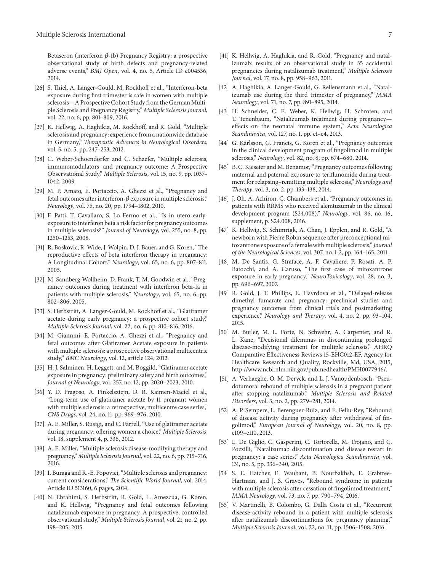Betaseron (interferon  $\beta$ -1b) Pregnancy Registry: a prospective observational study of birth defects and pregnancy-related adverse events," *BMJ Open*, vol. 4, no. 5, Article ID e004536, 2014.

- <span id="page-6-0"></span>[26] S. Thiel, A. Langer-Gould, M. Rockhoff et al., "Interferon-beta exposure during first trimester is safe in women with multiple sclerosis—A Prospective Cohort Study from the German Multiple Sclerosis and Pregnancy Registry," *Multiple Sclerosis Journal*, vol. 22, no. 6, pp. 801–809, 2016.
- <span id="page-6-1"></span>[27] K. Hellwig, A. Haghikia, M. Rockhoff, and R. Gold, "Multiple sclerosis and pregnancy: experience from a nationwide database in Germany," *Therapeutic Advances in Neurological Disorders*, vol. 5, no. 5, pp. 247–253, 2012.
- <span id="page-6-2"></span>[28] C. Weber-Schoendorfer and C. Schaefer, "Multiple sclerosis, immunomodulators, and pregnancy outcome: A Prospective Observational Study," *Multiple Sclerosis*, vol. 15, no. 9, pp. 1037– 1042, 2009.
- <span id="page-6-3"></span>[29] M. P. Amato, E. Portaccio, A. Ghezzi et al., "Pregnancy and fetal outcomes after interferon- $\beta$  exposure in multiple sclerosis," *Neurology*, vol. 75, no. 20, pp. 1794–1802, 2010.
- <span id="page-6-4"></span>[30] F. Patti, T. Cavallaro, S. Lo Fermo et al., "Is in utero earlyexposure to interferon beta a risk factor for pregnancy outcomes in multiple sclerosis?" *Journal of Neurology*, vol. 255, no. 8, pp. 1250–1253, 2008.
- <span id="page-6-5"></span>[31] R. Boskovic, R. Wide, J. Wolpin, D. J. Bauer, and G. Koren, "The reproductive effects of beta interferon therapy in pregnancy: A Longitudinal Cohort," *Neurology*, vol. 65, no. 6, pp. 807–811, 2005.
- <span id="page-6-6"></span>[32] M. Sandberg-Wollheim, D. Frank, T. M. Goodwin et al., "Pregnancy outcomes during treatment with interferon beta-1a in patients with multiple sclerosis," *Neurology*, vol. 65, no. 6, pp. 802–806, 2005.
- <span id="page-6-7"></span>[33] S. Herbstritt, A. Langer-Gould, M. Rockhoff et al., "Glatiramer acetate during early pregnancy: a prospective cohort study," *Multiple Sclerosis Journal*, vol. 22, no. 6, pp. 810–816, 2016.
- <span id="page-6-8"></span>[34] M. Giannini, E. Portaccio, A. Ghezzi et al., "Pregnancy and fetal outcomes after Glatiramer Acetate exposure in patients with multiple sclerosis: a prospective observational multicentric study," *BMC Neurology*, vol. 12, article 124, 2012.
- <span id="page-6-9"></span>[35] H. J. Salminen, H. Leggett, and M. Boggild, "Glatiramer acetate" exposure in pregnancy: preliminary safety and birth outcomes," *Journal of Neurology*, vol. 257, no. 12, pp. 2020–2023, 2010.
- <span id="page-6-10"></span>[36] Y. D. Fragoso, A. Finkelsztejn, D. R. Kaimen-Maciel et al., "Long-term use of glatiramer acetate by 11 pregnant women with multiple sclerosis: a retrospective, multicentre case series," *CNS Drugs*, vol. 24, no. 11, pp. 969–976, 2010.
- <span id="page-6-11"></span>[37] A. E. Miller, S. Rustgi, and C. Farrell, "Use of glatiramer acetate during pregnancy: offering women a choice," *Multiple Sclerosis*, vol. 18, supplement 4, p. 336, 2012.
- <span id="page-6-12"></span>[38] A. E. Miller, "Multiple sclerosis disease-modifying therapy and pregnancy," *Multiple Sclerosis Journal*, vol. 22, no. 6, pp. 715–716, 2016.
- <span id="page-6-13"></span>[39] I. Buraga and R.-E. Popovici, "Multiple sclerosis and pregnancy: current considerations," *The Scientific World Journal*, vol. 2014, Article ID 513160, 6 pages, 2014.
- <span id="page-6-14"></span>[40] N. Ebrahimi, S. Herbstritt, R. Gold, L. Amezcua, G. Koren, and K. Hellwig, "Pregnancy and fetal outcomes following natalizumab exposure in pregnancy. A prospective, controlled observational study," *Multiple Sclerosis Journal*, vol. 21, no. 2, pp. 198–205, 2015.
- <span id="page-6-15"></span>[41] K. Hellwig, A. Haghikia, and R. Gold, "Pregnancy and natalizumab: results of an observational study in 35 accidental pregnancies during natalizumab treatment," *Multiple Sclerosis Journal*, vol. 17, no. 8, pp. 958–963, 2011.
- <span id="page-6-16"></span>[42] A. Haghikia, A. Langer-Gould, G. Rellensmann et al., "Natalizumab use during the third trimester of pregnancy," *JAMA Neurology*, vol. 71, no. 7, pp. 891–895, 2014.
- <span id="page-6-17"></span>[43] H. Schneider, C. E. Weber, K. Hellwig, H. Schroten, and T. Tenenbaum, "Natalizumab treatment during pregnancy effects on the neonatal immune system," *Acta Neurologica Scandinavica*, vol. 127, no. 1, pp. e1–e4, 2013.
- <span id="page-6-18"></span>[44] G. Karlsson, G. Francis, G. Koren et al., "Pregnancy outcomes in the clinical development program of fingolimod in multiple sclerosis," *Neurology*, vol. 82, no. 8, pp. 674–680, 2014.
- <span id="page-6-19"></span>[45] B. C. Kieseier and M. Benamor, "Pregnancy outcomes following maternal and paternal exposure to teriflunomide during treatment for relapsing–remitting multiple sclerosis," *Neurology and Therapy*, vol. 3, no. 2, pp. 133–138, 2014.
- <span id="page-6-20"></span>[46] J. Oh, A. Achiron, C. Chambers et al., "Pregnancy outcomes in patients with RRMS who received alemtuzumab in the clinical development program (S24.008)," *Neurology*, vol. 86, no. 16, supplement, p. S24.008, 2016.
- <span id="page-6-21"></span>[47] K. Hellwig, S. Schimrigk, A. Chan, J. Epplen, and R. Gold, "A newborn with Pierre Robin sequence after preconceptional mitoxantrone exposure of a female with multiple sclerosis," *Journal of the Neurological Sciences*, vol. 307, no. 1-2, pp. 164–165, 2011.
- <span id="page-6-22"></span>[48] M. De Santis, G. Straface, A. F. Cavaliere, P. Rosati, A. P. Batocchi, and A. Caruso, "The first case of mitoxantrone exposure in early pregnancy," *NeuroToxicology*, vol. 28, no. 3, pp. 696–697, 2007.
- <span id="page-6-23"></span>[49] R. Gold, J. T. Phillips, E. Havrdova et al., "Delayed-release dimethyl fumarate and pregnancy: preclinical studies and pregnancy outcomes from clinical trials and postmarketing experience," *Neurology and Therapy*, vol. 4, no. 2, pp. 93–104, 2015.
- <span id="page-6-24"></span>[50] M. Butler, M. L. Forte, N. Schwehr, A. Carpenter, and R. L. Kane, "Decisional dilemmas in discontinuing prolonged disease-modifying treatment for multiple sclerosis," AHRQ Comparative Effectiveness Reviews 15-EHC012-EF, Agency for Healthcare Research and Quality, Rockville, Md, USA, 2015, [http://www.ncbi.nlm.nih.gov/pubmedhealth/PMH0077946/.](http://www.ncbi.nlm.nih.gov/pubmedhealth/PMH0077946/)
- <span id="page-6-25"></span>[51] A. Verhaeghe, O. M. Deryck, and L. J. Vanopdenbosch, "Pseudotumoral rebound of multiple sclerosis in a pregnant patient after stopping natalizumab," *Multiple Sclerosis and Related Disorders*, vol. 3, no. 2, pp. 279–281, 2014.
- <span id="page-6-26"></span>[52] A. P. Sempere, L. Berenguer-Ruiz, and E. Feliu-Rey, "Rebound of disease activity during pregnancy after withdrawal of fingolimod," *European Journal of Neurology*, vol. 20, no. 8, pp. e109–e110, 2013.
- <span id="page-6-27"></span>[53] L. De Giglio, C. Gasperini, C. Tortorella, M. Trojano, and C. Pozzilli, "Natalizumab discontinuation and disease restart in pregnancy: a case series," *Acta Neurologica Scandinavica*, vol. 131, no. 5, pp. 336–340, 2015.
- <span id="page-6-28"></span>[54] S. E. Hatcher, E. Waubant, B. Nourbakhsh, E. Crabtree-Hartman, and J. S. Graves, "Rebound syndrome in patients with multiple sclerosis after cessation of fingolimod treatment," *JAMA Neurology*, vol. 73, no. 7, pp. 790–794, 2016.
- <span id="page-6-29"></span>[55] V. Martinelli, B. Colombo, G. Dalla Costa et al., "Recurrent disease-activity rebound in a patient with multiple sclerosis after natalizumab discontinuations for pregnancy planning," *Multiple Sclerosis Journal*, vol. 22, no. 11, pp. 1506–1508, 2016.